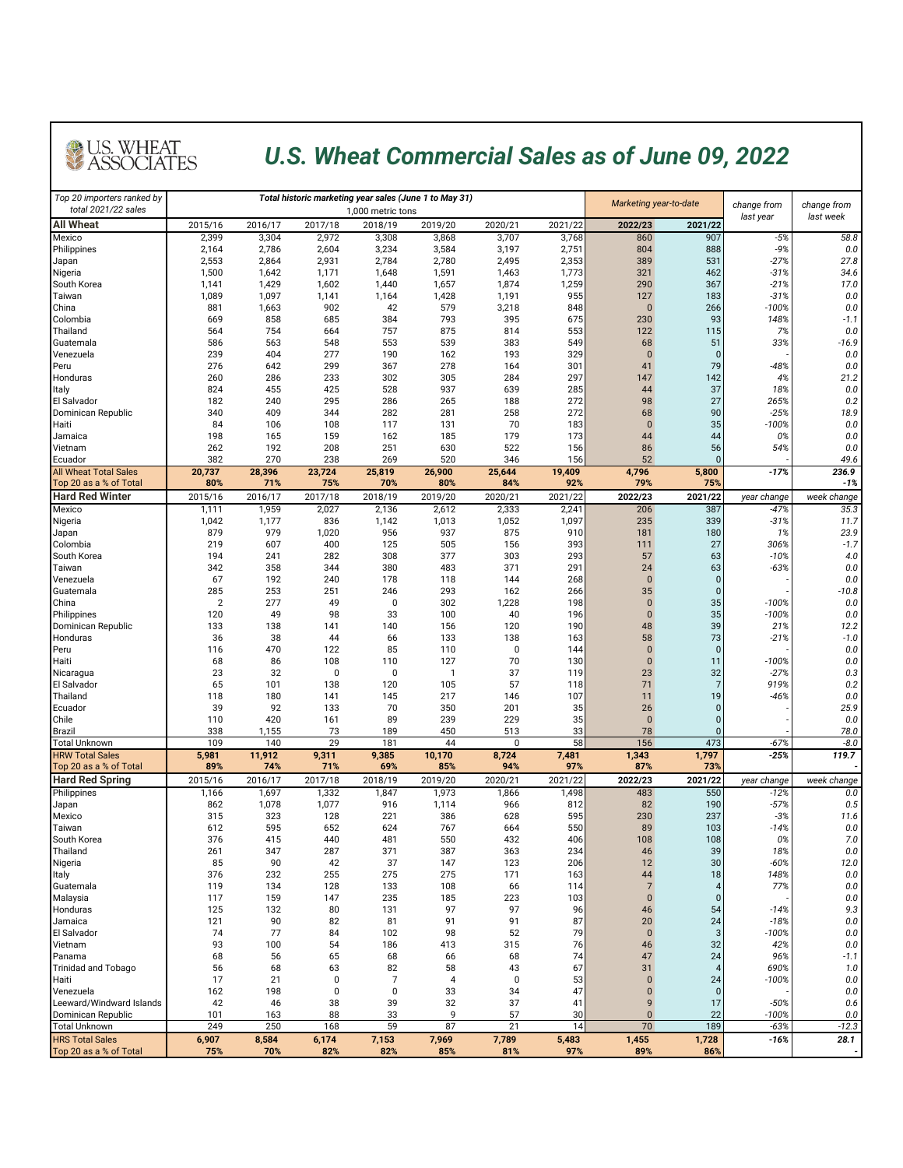

## *U.S. Wheat Commercial Sales as of June 09, 2022*

| Top 20 importers ranked by<br>total 2021/22 sales |                |              |                    | Total historic marketing year sales (June 1 to May 31) |                     | Marketing year-to-date |            | change from       | change from        |                   |                |
|---------------------------------------------------|----------------|--------------|--------------------|--------------------------------------------------------|---------------------|------------------------|------------|-------------------|--------------------|-------------------|----------------|
| <b>All Wheat</b>                                  | 2015/16        | 2016/17      | 2017/18            | 1,000 metric tons<br>2018/19                           | 2019/20             | 2020/21                | 2021/22    | 2022/23           | 2021/22            | last year         | last week      |
| Mexico                                            | 2,399          | 3,304        | 2,972              | 3,308                                                  | 3,868               | 3,707                  | 3,768      | 860               | 907                | $-5%$             | 58.8           |
| Philippines                                       | 2,164          | 2,786        | 2,604              | 3,234                                                  | 3,584               | 3,197                  | 2,751      | 804               | 888                | $-9%$             | 0.0            |
| Japan                                             | 2,553          | 2,864        | 2,931              | 2,784                                                  | 2,780               | 2,495                  | 2,353      | 389               | 531                | $-27%$            | 27.8           |
| Nigeria                                           | 1,500          | 1,642        | 1,171              | 1,648                                                  | 1,591               | 1,463                  | 1,773      | 321               | 462                | $-31%$            | 34.6           |
| South Korea                                       | 1,141          | 1,429        | 1,602              | 1,440                                                  | 1,657               | 1,874                  | 1,259      | 290               | 367                | $-21%$            | 17.0           |
| Taiwan                                            | 1,089          | 1,097        | 1,141              | 1,164                                                  | 1,428               | 1,191                  | 955        | 127               | 183                | $-31%$            | 0.0            |
| China                                             | 881<br>669     | 1,663<br>858 | 902<br>685         | 42<br>384                                              | 579<br>793          | 3,218<br>395           | 848<br>675 | $\bf{0}$<br>230   | 266<br>93          | $-100%$<br>148%   | 0.0<br>$-1.1$  |
| Colombia<br>Thailand                              | 564            | 754          | 664                | 757                                                    | 875                 | 814                    | 553        | 122               | 115                | 7%                | 0.0            |
| Guatemala                                         | 586            | 563          | 548                | 553                                                    | 539                 | 383                    | 549        | 68                | 51                 | 33%               | $-16.9$        |
| Venezuela                                         | 239            | 404          | 277                | 190                                                    | 162                 | 193                    | 329        | $\bf{0}$          | $\mathbf 0$        |                   | 0.0            |
| Peru                                              | 276            | 642          | 299                | 367                                                    | 278                 | 164                    | 301        | 41                | 79                 | -48%              | 0.0            |
| Honduras                                          | 260            | 286          | 233                | 302                                                    | 305                 | 284                    | 297        | 147               | 142                | 4%                | 21.2           |
| Italy                                             | 824            | 455          | 425                | 528                                                    | 937                 | 639                    | 285        | 44                | 37                 | 18%               | 0.0            |
| El Salvador                                       | 182            | 240          | 295                | 286                                                    | 265                 | 188                    | 272        | 98                | 27                 | 265%              | 0.2            |
| Dominican Republic                                | 340            | 409          | 344                | 282                                                    | 281                 | 258<br>70              | 272        | 68                | 90                 | $-25%$            | 18.9           |
| Haiti<br>Jamaica                                  | 84<br>198      | 106<br>165   | 108<br>159         | 117<br>162                                             | 131<br>185          | 179                    | 183<br>173 | $\bf{0}$<br>44    | 35<br>44           | $-100%$<br>0%     | 0.0<br>0.0     |
| Vietnam                                           | 262            | 192          | 208                | 251                                                    | 630                 | 522                    | 156        | 86                | 56                 | 54%               | 0.0            |
| Ecuador                                           | 382            | 270          | 238                | 269                                                    | 520                 | 346                    | 156        | 52                | $\Omega$           |                   | 49.6           |
| <b>All Wheat Total Sales</b>                      | 20,737         | 28,396       | 23,724             | 25,819                                                 | 26,900              | 25,644                 | 19,409     | 4,796             | 5,800              | $-17%$            | 236.9          |
| Top 20 as a % of Total                            | 80%            | 71%          | 75%                | 70%                                                    | 80%                 | 84%                    | 92%        | 79%               | 75%                |                   | $-1%$          |
| <b>Hard Red Winter</b>                            | 2015/16        | 2016/17      | 2017/18            | 2018/19                                                | 2019/20             | 2020/21                | 2021/22    | 2022/23           | 2021/22            | year change       | week change    |
| Mexico                                            | 1,111          | 1,959        | 2,027              | 2,136                                                  | 2,612               | 2,333                  | 2,24       | 206               | 387                | $-47%$            | 35.3           |
| Nigeria                                           | 1,042          | 1,177        | 836                | 1,142                                                  | 1,013               | 1,052                  | 1,097      | 235               | 339                | $-31%$            | 11.7           |
| Japan                                             | 879            | 979          | 1,020              | 956                                                    | 937                 | 875                    | 910        | 181               | 180                | 1%                | 23.9           |
| Colombia                                          | 219            | 607          | 400                | 125                                                    | 505                 | 156                    | 393        | 111               | 27                 | 306%              | $-1.7$         |
| South Korea                                       | 194            | 241          | 282<br>344         | 308                                                    | 377                 | 303                    | 293        | 57                | 63                 | $-10%$<br>$-63%$  | 4.0            |
| Taiwan<br>Venezuela                               | 342<br>67      | 358<br>192   | 240                | 380<br>178                                             | 483<br>118          | 371<br>144             | 291<br>268 | 24<br>$\bf{0}$    | 63<br>$\mathbf{0}$ |                   | 0.0<br>0.0     |
| Guatemala                                         | 285            | 253          | 251                | 246                                                    | 293                 | 162                    | 266        | 35                | $\overline{0}$     |                   | $-10.8$        |
| China                                             | $\overline{2}$ | 277          | 49                 | 0                                                      | 302                 | 1,228                  | 198        | $\bf{0}$          | 35                 | $-100%$           | 0.0            |
| Philippines                                       | 120            | 49           | 98                 | 33                                                     | 100                 | 40                     | 196        | $\bf{0}$          | 35                 | $-100%$           | 0.0            |
| Dominican Republic                                | 133            | 138          | 141                | 140                                                    | 156                 | 120                    | 190        | 48                | 39                 | 21%               | 12.2           |
| Honduras                                          | 36             | 38           | 44                 | 66                                                     | 133                 | 138                    | 163        | 58                | 73                 | $-21%$            | $-1.0$         |
| Peru                                              | 116            | 470          | 122                | 85                                                     | 110                 | 0                      | 144        | $\bf{0}$          | $\overline{0}$     |                   | 0.0            |
| Haiti                                             | 68<br>23       | 86<br>32     | 108<br>$\mathbf 0$ | 110<br>$\mathbf 0$                                     | 127<br>$\mathbf{1}$ | 70<br>37               | 130        | $\bf{0}$<br>23    | 11<br>32           | $-100%$<br>$-27%$ | 0.0<br>0.3     |
| Nicaragua<br>El Salvador                          | 65             | 101          | 138                | 120                                                    | 105                 | 57                     | 119<br>118 | 71                | $\overline{7}$     | 919%              | 0.2            |
| Thailand                                          | 118            | 180          | 141                | 145                                                    | 217                 | 146                    | 107        | 11                | 19                 | $-46%$            | 0.0            |
| Ecuador                                           | 39             | 92           | 133                | 70                                                     | 350                 | 201                    | 35         | 26                | $\mathbf{0}$       |                   | 25.9           |
| Chile                                             | 110            | 420          | 161                | 89                                                     | 239                 | 229                    | 35         | $\bf{0}$          | $\Omega$           |                   | 0.0            |
| <b>Brazil</b>                                     | 338            | 1,155        | 73                 | 189                                                    | 450                 | 513                    | 33         | 78                | $\Omega$           |                   | 78.0           |
| <b>Total Unknown</b>                              | 109            | 140          | 29                 | 181                                                    | 44                  | 0                      | 58         | 156               | 473                | $-67%$            | $-8.0$         |
| <b>HRW Total Sales</b>                            | 5,981          | 11,912       | 9,311              | 9,385                                                  | 10,170              | 8,724                  | 7,481      | 1,343             | 1,797              | $-25%$            | 119.7          |
| Top 20 as a % of Total                            | 89%            | 74%          | 71%                | 69%                                                    | 85%                 | 94%                    | 97%        | 87%               | 73%                |                   |                |
| <b>Hard Red Spring</b>                            | 2015/16        | 2016/17      | 2017/18            | 2018/19                                                | 2019/20             | 2020/21                | 2021/22    | 2022/23           | 2021/22            | year change       | week change    |
| Philippines                                       | 1,166          | 1,697        | 1,332              | 1,847                                                  | 1,973               | 1,866                  | 1,498      | 483               | 550                | $-12%$            | 0.0<br>0.5     |
| Japan<br>Mexico                                   | 862<br>315     | 1,078<br>323 | 1,077<br>128       | 916<br>221                                             | 1,114<br>386        | 966<br>628             | 812<br>595 | 82<br>230         | 190<br>237         | $-57%$<br>$-3%$   | 11.6           |
| Taiwan                                            | 612            | 595          | 652                | 624                                                    | 767                 | 664                    | 550        | 89                | 103                | $-14%$            | 0.0            |
| South Korea                                       | 376            | 415          | 440                | 481                                                    | 550                 | 432                    | 406        | 108               | 108                | 0%                | 7.0            |
| Thailand                                          | 261            | 347          | 287                | 371                                                    | 387                 | 363                    | 234        | 46                | 39                 | 18%               | 0.0            |
| Nigeria                                           | 85             | 90           | 42                 | 37                                                     | 147                 | 123                    | 206        | 12                | 30                 | $-60%$            | 12.0           |
| Italy                                             | 376            | 232          | 255                | 275                                                    | 275                 | 171                    | 163        | 44                | 18                 | 148%              | 0.0            |
| Guatemala                                         | 119            | 134          | 128                | 133                                                    | 108                 | 66                     | 114        | $\overline{7}$    | $\overline{4}$     | 77%               | 0.0            |
| Malaysia                                          | 117            | 159          | 147                | 235                                                    | 185                 | 223                    | 103        | $\mathbf{0}$      | $\mathbf{0}$       |                   | 0.0            |
| Honduras<br>Jamaica                               | 125<br>121     | 132<br>90    | 80<br>82           | 131<br>81                                              | 97<br>91            | 97<br>91               | 96<br>87   | 46<br>20          | 54<br>24           | $-14%$<br>$-18%$  | 9.3<br>0.0     |
| El Salvador                                       | 74             | 77           | 84                 | 102                                                    | 98                  | 52                     | 79         | $\bf{0}$          | 3                  | $-100%$           | 0.0            |
| Vietnam                                           | 93             | 100          | 54                 | 186                                                    | 413                 | 315                    | 76         | 46                | 32                 | 42%               | 0.0            |
| Panama                                            | 68             | 56           | 65                 | 68                                                     | 66                  | 68                     | 74         | 47                | 24                 | 96%               | $-1.1$         |
| <b>Trinidad and Tobago</b>                        | 56             | 68           | 63                 | 82                                                     | 58                  | 43                     | 67         | 31                | $\overline{4}$     | 690%              | 1.0            |
| Haiti                                             | 17             | 21           | 0                  | 7                                                      | 4                   | 0                      | 53         | $\bf{0}$          | 24                 | $-100%$           | 0.0            |
| Venezuela                                         | 162            | 198          | 0                  | 0                                                      | 33                  | 34                     | 47         | $\bf{0}$          | $\mathbf 0$        |                   | 0.0            |
| Leeward/Windward Islands                          | 42             | 46           | 38                 | 39                                                     | 32                  | 37                     | 41         | 9                 | 17                 | $-50%$            | 0.6            |
| Dominican Republic<br><b>Total Unknown</b>        | 101<br>249     | 163<br>250   | 88<br>168          | 33<br>59                                               | 9<br>87             | 57<br>21               | 30<br>14   | $\mathbf 0$<br>70 | 22<br>189          | $-100%$<br>$-63%$ | 0.0<br>$-12.3$ |
| <b>HRS Total Sales</b>                            | 6,907          | 8,584        | 6,174              | 7,153                                                  | 7,969               | 7,789                  | 5,483      | 1,455             | 1,728              | $-16%$            | 28.1           |
| Top 20 as a % of Total                            | 75%            | 70%          | 82%                | 82%                                                    | 85%                 | 81%                    | 97%        | 89%               | 86%                |                   |                |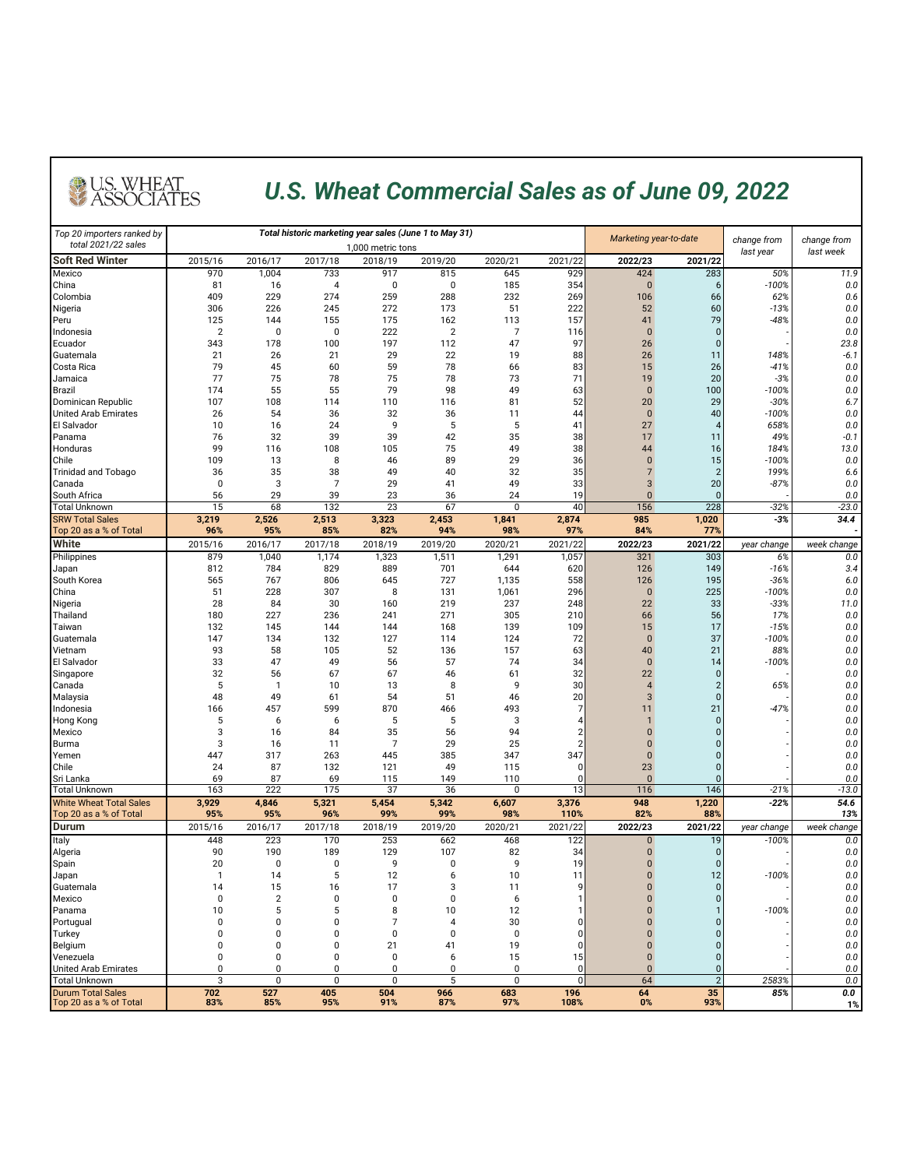## *U.S. Wheat Commercial Sales as of June 09, 2022*

U.S. WHEAT<br>ASSOCIATES

| Top 20 importers ranked by                               |                |                   |                | Total historic marketing year sales (June 1 to May 31) |              | Marketing year-to-date |                | change from          | change from          |                  |                |
|----------------------------------------------------------|----------------|-------------------|----------------|--------------------------------------------------------|--------------|------------------------|----------------|----------------------|----------------------|------------------|----------------|
| total 2021/22 sales                                      |                | 1,000 metric tons |                |                                                        |              |                        |                |                      |                      | last year        | last week      |
| Soft Red Winter                                          | 2015/16        | 2016/17           | 2017/18        | 2018/19                                                | 2019/20      | 2020/21                | 2021/22        | 2022/23              | 2021/22              |                  |                |
| Mexico<br>China                                          | 970<br>81      | 1,004<br>16       | 733<br>4       | 917<br>0                                               | 815<br>0     | 645<br>185             | 929<br>354     | 424<br>$\bf{0}$      | 283<br>6             | 50%<br>$-100%$   | 11.9<br>0.0    |
| Colombia                                                 | 409            | 229               | 274            | 259                                                    | 288          | 232                    | 269            | 106                  | 66                   | 62%              | 0.6            |
| Nigeria                                                  | 306            | 226               | 245            | 272                                                    | 173          | 51                     | 222            | 52                   | 60                   | $-13%$           | 0.0            |
| Peru                                                     | 125            | 144               | 155            | 175                                                    | 162          | 113                    | 157            | 41                   | 79                   | $-48%$           | 0.0            |
| Indonesia                                                | $\overline{2}$ | 0                 | 0              | 222                                                    | 2            | 7                      | 116            | $\bf{0}$             | $\pmb{0}$            |                  | 0.0            |
| Ecuador                                                  | 343            | 178               | 100            | 197                                                    | 112          | 47                     | 97             | 26                   | $\mathbf{0}$         |                  | 23.8           |
| Guatemala                                                | 21             | 26                | 21             | 29                                                     | 22           | 19                     | 88             | 26                   | 11                   | 148%             | $-6.1$         |
| Costa Rica                                               | 79             | 45                | 60             | 59                                                     | 78           | 66                     | 83             | 15                   | 26                   | $-41%$           | 0.0            |
| Jamaica                                                  | 77             | 75                | 78             | 75                                                     | 78           | 73                     | 71             | 19                   | 20                   | $-3%$            | 0.0            |
| Brazil                                                   | 174            | 55                | 55             | 79                                                     | 98           | 49                     | 63             | $\overline{0}$       | 100                  | $-100%$          | 0.0            |
| Dominican Republic                                       | 107            | 108               | 114            | 110                                                    | 116          | 81                     | 52             | 20                   | 29                   | $-30%$           | 6.7            |
| United Arab Emirates                                     | 26             | 54                | 36             | 32<br>9                                                | 36<br>5      | 11                     | 44             | $\bf{0}$<br>27       | 40<br>$\overline{4}$ | $-100%$          | 0.0<br>$0.0\,$ |
| El Salvador                                              | 10             | 16                | 24             |                                                        |              | 5                      | 41             |                      |                      | 658%             |                |
| Panama<br>Honduras                                       | 76<br>99       | 32<br>116         | 39<br>108      | 39<br>105                                              | 42<br>75     | 35<br>49               | 38<br>38       | 17<br>44             | 11<br>16             | 49%<br>184%      | $-0.1$<br>13.0 |
| Chile                                                    | 109            | 13                | 8              | 46                                                     | 89           | 29                     | 36             | $\bf{0}$             | 15                   | $-100%$          | 0.0            |
| Trinidad and Tobago                                      | 36             | 35                | 38             | 49                                                     | 40           | 32                     | 35             | $\overline{7}$       | $\overline{2}$       | 199%             | 6.6            |
| Canada                                                   | 0              | 3                 | $\overline{7}$ | 29                                                     | 41           | 49                     | 33             | 3                    | 20                   | $-87%$           | 0.0            |
| South Africa                                             | 56             | 29                | 39             | 23                                                     | 36           | 24                     | 19             | $\mathbf{0}$         | $\Omega$             |                  | 0.0            |
| Total Unknown                                            | 15             | 68                | 132            | 23                                                     | 67           | $\mathbf 0$            | 40             | 156                  | 228                  | $-32%$           | $-23.0$        |
| <b>SRW Total Sales</b>                                   | 3,219          | 2,526             | 2,513          | 3,323                                                  | 2,453        | 1,841                  | 2,874          | 985                  | 1,020                | $-3%$            | 34.4           |
| Top 20 as a % of Total                                   | 96%            | 95%               | 85%            | 82%                                                    | 94%          | 98%                    | 97%            | 84%                  | 779                  |                  |                |
| White                                                    | 2015/16        | 2016/17           | 2017/18        | 2018/19                                                | 2019/20      | 2020/21                | 2021/22        | 2022/23              | 2021/22              | year change      | week change    |
| Philippines                                              | 879            | 1,040             | 1,174          | 1,323                                                  | 1,511        | 1,291                  | 1,057          | 321                  | 303                  | 6%               | 0.0            |
| Japan                                                    | 812            | 784               | 829            | 889                                                    | 701          | 644                    | 620            | 126                  | 149                  | $-16%$           | 3.4            |
| South Korea                                              | 565            | 767               | 806            | 645                                                    | 727          | 1,135                  | 558            | 126                  | 195                  | $-36%$           | 6.0            |
| China                                                    | 51             | 228               | 307            | 8                                                      | 131          | 1,061                  | 296            | $\bf{0}$             | 225                  | $-100%$          | 0.0            |
| Nigeria                                                  | 28             | 84                | 30             | 160                                                    | 219          | 237                    | 248            | 22                   | 33                   | $-33%$           | 11.0           |
| Thailand                                                 | 180            | 227               | 236            | 241                                                    | 271          | 305                    | 210            | 66                   | 56                   | 17%              | 0.0            |
| Taiwan                                                   | 132            | 145               | 144            | 144                                                    | 168          | 139                    | 109            | 15                   | 17                   | $-15%$           | 0.0            |
| Guatemala<br>Vietnam                                     | 147<br>93      | 134<br>58         | 132<br>105     | 127<br>52                                              | 114<br>136   | 124<br>157             | 72<br>63       | $\bf{0}$<br>40       | 37<br>21             | $-100%$<br>88%   | 0.0<br>0.0     |
| El Salvador                                              | 33             | 47                | 49             | 56                                                     | 57           | 74                     | 34             | $\bf{0}$             | 14                   | $-100%$          | 0.0            |
| Singapore                                                | 32             | 56                | 67             | 67                                                     | 46           | 61                     | 32             | 22                   | $\mathbf{0}$         |                  | 0.0            |
| Canada                                                   | 5              | $\mathbf{1}$      | 10             | 13                                                     | 8            | 9                      | 30             | $\overline{4}$       | $\overline{2}$       | 65%              | 0.0            |
| Malaysia                                                 | 48             | 49                | 61             | 54                                                     | 51           | 46                     | 20             | 3                    | $\mathbf{0}$         |                  | 0.0            |
| Indonesia                                                | 166            | 457               | 599            | 870                                                    | 466          | 493                    | 7              | 11                   | $\overline{21}$      | $-47%$           | 0.0            |
| Hong Kong                                                | 5              | 6                 | 6              | 5                                                      | 5            | 3                      | 4              | 1                    | $\mathbf{0}$         |                  | 0.0            |
| Mexico                                                   | 3              | 16                | 84             | 35                                                     | 56           | 94                     | $\overline{2}$ | $\overline{0}$       | $\Omega$             |                  | 0.0            |
| Burma                                                    | 3              | 16                | 11             | $\overline{7}$                                         | 29           | 25                     | $\overline{2}$ | $\Omega$             | $\Omega$             |                  | 0.0            |
| Yemen                                                    | 447            | 317               | 263            | 445                                                    | 385          | 347                    | 347            | $\bf{0}$             | 0                    |                  | 0.0            |
| Chile                                                    | 24             | 87                | 132            | 121                                                    | 49           | 115                    | 0              | 23                   | $\Omega$             |                  | 0.0            |
| Sri Lanka                                                | 69             | 87                | 69             | 115                                                    | 149          | 110                    | $\mathbf 0$    | $\Omega$             |                      |                  | 0.0            |
| Total Unknown                                            | 163            | 222               | 175            | 37                                                     | 36           | 0                      | 13             | 116                  | 146                  | $-21%$<br>$-22%$ | $-13.0$        |
| <b>White Wheat Total Sales</b><br>Top 20 as a % of Total | 3,929<br>95%   | 4,846<br>95%      | 5,321<br>96%   | 5,454<br>99%                                           | 5,342<br>99% | 6,607<br>98%           | 3,376<br>110%  | 948<br>82%           | 1,220<br>88%         |                  | 54.6<br>13%    |
| Durum                                                    | 2015/16        | 2016/17           | 2017/18        | 2018/19                                                | 2019/20      | 2020/21                | 2021/22        | 2022/23              | 2021/22              |                  | week change    |
|                                                          |                |                   |                |                                                        |              |                        |                |                      |                      | year change      |                |
| Italy                                                    | 448<br>90      | 223<br>190        | 170<br>189     | 253<br>129                                             | 662<br>107   | 468<br>82              | 122<br>34      | $\bf{0}$<br>$\bf{0}$ | 19<br>$\mathbf 0$    | $-100%$          | 0.0<br>0.0     |
| Algeria<br>Spain                                         | 20             | 0                 | 0              | 9                                                      | 0            | 9                      | 19             | $\mathbf{0}$         | $\mathbf{0}$         |                  | $0.0\,$        |
| Japan                                                    | $\mathbf{1}$   | 14                | 5              | 12                                                     | 6            | 10                     | 11             | $\Omega$             | 12                   | $-100%$          | 0.0            |
| Guatemala                                                | 14             | 15                | 16             | 17                                                     | 3            | 11                     | 9              | $\pmb{0}$            | $\overline{0}$       |                  | $0.0\,$        |
| Mexico                                                   | $\pmb{0}$      | $\overline{2}$    | 0              | 0                                                      | 0            | 6                      | $\mathbf{1}$   | $\bf{0}$             | $\overline{0}$       |                  | $0.0\,$        |
| Panama                                                   | 10             | 5                 | 5              | 8                                                      | 10           | 12                     | $\mathbf{1}$   | $\bf{0}$             |                      | $-100%$          | $0.0\,$        |
| Portugual                                                | 0              | 0                 | 0              | 7                                                      | 4            | 30                     | 0              | $\bf{0}$             | $\overline{0}$       |                  | $0.0\,$        |
| Turkey                                                   | 0              | 0                 | 0              | 0                                                      | 0            | $\mathbf 0$            | $\mathbf 0$    | $\bf{0}$             | $\overline{0}$       |                  | 0.0            |
| Belgium                                                  | 0              | 0                 | 0              | 21                                                     | 41           | 19                     | 0              | $\bf{0}$             | $\overline{0}$       |                  | $0.0\,$        |
| Venezuela                                                | 0              | 0                 | 0              | 0                                                      | 6            | 15                     | 15             | $\bf{0}$             | $\overline{0}$       |                  | 0.0            |
| United Arab Emirates                                     | 0              | 0                 | 0              | 0                                                      | 0            | 0                      | 0              | $\bf{0}$             | $\overline{0}$       |                  | 0.0            |
| <b>Total Unknown</b>                                     | 3              | 0                 | 0              | 0                                                      | 5            | 0                      | $\mathbf 0$    | 64                   | $\overline{2}$       | 2583%            | 0.0            |
| Durum Total Sales                                        | 702            | 527               | 405            | 504                                                    | 966          | 683                    | 196            | 64                   | 35                   | 85%              | 0.0            |
| Top 20 as a % of Total                                   | 83%            | 85%               | 95%            | 91%                                                    | 87%          | 97%                    | 108%           | $0\%$                | 93%                  |                  | 1%             |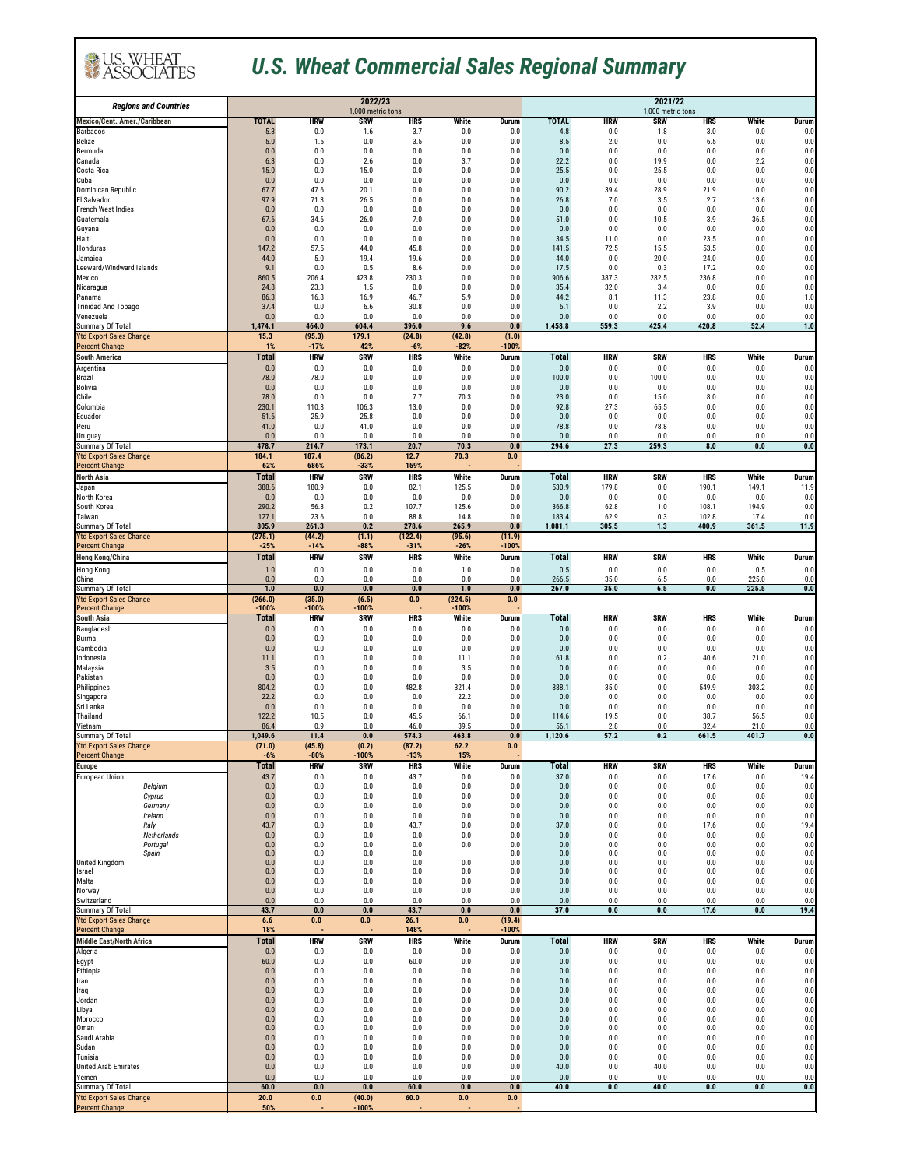## *U.S. Wheat Commercial Sales Regional Summary*

U.S. WHEAT

| <b>Regions and Countries</b>                            |                     |                   | 2022/23                         |                   |                | 2021/22           |                     |                   |                                 |                   |                |              |
|---------------------------------------------------------|---------------------|-------------------|---------------------------------|-------------------|----------------|-------------------|---------------------|-------------------|---------------------------------|-------------------|----------------|--------------|
| Mexico/Cent. Amer./Caribbean                            | TOTAL               | <b>HRW</b>        | 1,000 metric tons<br><b>SRW</b> | <b>HRS</b>        | White          | Durum             | <b>TOTAL</b>        | <b>HRW</b>        | 1,000 metric tons<br><b>SRW</b> | <b>HRS</b>        | White          | Durum        |
| Barbados                                                | 5.3                 | 0.0               | 1.6                             | 3.7               | 0.0            | 0.0               | 4.8                 | 0.0               | 1.8                             | 3.0               | 0.0            | 0.0          |
| Belize<br>Bermuda                                       | 5.0<br>0.0          | 1.5<br>0.0        | 0.0<br>0.0                      | 3.5<br>0.0        | 0.0<br>0.0     | 0.0<br>0.0        | 8.5<br>0.0          | 2.0<br>0.0        | 0.0<br>0.0                      | 6.5<br>0.0        | 0.0<br>0.0     | 0.0<br>0.0   |
| Canada                                                  | 6.3                 | 0.0               | 2.6                             | 0.0               | 3.7            | 0.0               | 22.2                | 0.0               | 19.9                            | 0.0               | 2.2            | 0.0          |
| Costa Rica<br>Cuba                                      | 15.0<br>0.0         | 0.0<br>0.0        | 15.0<br>0.0                     | 0.0<br>0.0        | 0.0<br>0.0     | 0.0<br>0.0        | 25.5<br>0.0         | 0.0<br>$0.0\,$    | 25.5<br>0.0                     | 0.0<br>0.0        | 0.0<br>0.0     | 0.0<br>0.0   |
| Dominican Republic                                      | 67.7                | 47.6              | 20.1                            | 0.0               | 0.0            | 0.0               | 90.2                | 39.4              | 28.9                            | 21.9              | 0.0            | 0.0          |
| El Salvador<br>French West Indies                       | 97.9<br>0.0         | 71.3<br>0.0       | 26.5<br>0.0                     | 0.0<br>0.0        | 0.0<br>0.0     | 0.0<br>0.0        | 26.8<br>0.0         | 7.0<br>0.0        | 3.5<br>0.0                      | 2.7<br>0.0        | 13.6<br>0.0    | 0.0<br>0.0   |
| Guatemala                                               | 67.6                | 34.6              | 26.0                            | 7.0               | 0.0            | 0.0               | 51.0                | 0.0               | 10.5                            | 3.9               | 36.5           | 0.0          |
| Guyana                                                  | 0.0                 | 0.0               | 0.0                             | 0.0<br>0.0        | 0.0<br>0.0     | 0.0               | 0.0                 | 0.0               | 0.0<br>0.0                      | 0.0               | 0.0<br>0.0     | 0.0<br>0.0   |
| Haiti<br>Honduras                                       | 0.0<br>147.2        | 0.0<br>57.5       | 0.0<br>44.0                     | 45.8              | 0.0            | 0.0<br>0.0        | 34.5<br>141.5       | 11.0<br>72.5      | 15.5                            | 23.5<br>53.5      | 0.0            | 0.0          |
| Jamaica<br>Leeward/Windward Islands                     | 44.0<br>9.1         | 5.0<br>0.0        | 19.4<br>0.5                     | 19.6<br>8.6       | 0.0<br>0.0     | 0.0               | 44.0<br>17.5        | 0.0<br>0.0        | 20.0<br>0.3                     | 24.0<br>17.2      | 0.0<br>0.0     | 0.0          |
| Mexico                                                  | 860.5               | 206.4             | 423.8                           | 230.3             | 0.0            | 0.0<br>0.0        | 906.6               | 387.3             | 282.5                           | 236.8             | 0.0            | 0.0<br>0.0   |
| Nicaragua                                               | 24.8                | 23.3              | 1.5                             | 0.0               | 0.0            | 0.0               | 35.4                | 32.0              | 3.4                             | 0.0               | 0.0            | 0.0          |
| Panama<br><b>Trinidad And Tobago</b>                    | 86.3<br>37.4        | 16.8<br>0.0       | 16.9<br>6.6                     | 46.7<br>30.8      | 5.9<br>0.0     | 0.0<br>0.0        | 44.2<br>6.1         | 8.1<br>0.0        | 11.3<br>2.2                     | 23.8<br>3.9       | 0.0<br>0.0     | 1.0<br>0.0   |
| <i>Venezuela</i><br>Summary Of Total                    | 0.0<br>1,474.1      | 0.0<br>464.0      | 0.0<br>604.4                    | 0.0<br>396.0      | 0.0<br>9.6     | 0.0<br>0.0        | 0.0<br>1,458.8      | 0.0<br>559.3      | 0.0<br>425.4                    | 0.0<br>420.8      | 0.0<br>52.4    | 0.0<br>1.0   |
| <b>Ytd Export Sales Change</b>                          | 15.3                | (95.3)            | 179.1                           | (24.8)            | (42.8)         | (1.0)             |                     |                   |                                 |                   |                |              |
| <b>Percent Change</b>                                   | 1%                  | $-17%$            | 42%                             | $-6%$             | $-82%$         | $-100%$           |                     |                   |                                 |                   |                |              |
| <b>South America</b><br>Argentina                       | <b>Total</b><br>0.0 | <b>HRW</b><br>0.0 | <b>SRW</b><br>0.0               | <b>HRS</b><br>0.0 | White<br>0.0   | Durum<br>0.0      | <b>Total</b><br>0.0 | <b>HRW</b><br>0.0 | <b>SRW</b><br>0.0               | <b>HRS</b><br>0.0 | White<br>0.0   | Durum<br>0.0 |
| Brazil                                                  | 78.0                | 78.0              | 0.0                             | 0.0               | $0.0\,$        | 0.0               | 100.0               | 0.0               | 100.0                           | 0.0               | 0.0            | 0.0          |
| <b>Bolivia</b><br>Chile                                 | 0.0<br>78.0         | 0.0<br>0.0        | 0.0<br>0.0                      | 0.0<br>7.7        | 0.0<br>70.3    | 0.0<br>0.0        | 0.0<br>23.0         | 0.0<br>0.0        | 0.0<br>15.0                     | 0.0<br>8.0        | 0.0<br>0.0     | 0.0<br>0.0   |
| Colombia                                                | 230.1               | 110.8             | 106.3                           | 13.0              | 0.0            | 0.0               | 92.8                | 27.3              | 65.5                            | 0.0               | 0.0            | 0.0          |
| Ecuador<br>Peru                                         | 51.6<br>41.0        | 25.9<br>0.0       | 25.8<br>41.0                    | 0.0<br>0.0        | 0.0<br>0.0     | 0.0<br>0.0        | 0.0<br>78.8         | 0.0<br>0.0        | 0.0<br>78.8                     | 0.0<br>0.0        | 0.0<br>0.0     | 0.0<br>0.0   |
| Uruguay                                                 | 0.0                 | 0.0               | 0.0                             | 0.0               | 0.0            | 0.0               | 0.0                 | 0.0               | 0.0                             | 0.0               | 0.0            | 0.0          |
| Summary Of Total                                        | 478.7               | 214.7             | 173.1                           | 20.7              | 70.3           | 0.0               | 294.6               | 27.3              | 259.3                           | 8.0               | 0.0            | $0.0\,$      |
| <b>Ytd Export Sales Change</b><br><b>Percent Change</b> | 184.1<br>62%        | 187.4<br>686%     | (86.2)<br>$-33%$                | 12.7<br>159%      | 70.3           | $0.0\,$           |                     |                   |                                 |                   |                |              |
| <b>North Asia</b>                                       | Total               | <b>HRW</b>        | <b>SRW</b>                      | <b>HRS</b>        | White          | Durum             | <b>Total</b>        | <b>HRW</b>        | <b>SRW</b>                      | <b>HRS</b>        | White          | Durum        |
| Japan<br>North Korea                                    | 388.6<br>0.0        | 180.9<br>0.0      | 0.0<br>0.0                      | 82.1<br>0.0       | 125.5<br>0.0   | 0.0<br>0.0        | 530.9<br>0.0        | 179.8<br>0.0      | 0.0<br>0.0                      | 190.1<br>0.0      | 149.1<br>0.0   | 11.9<br>0.0  |
| South Korea                                             | 290.2               | 56.8              | 0.2                             | 107.7             | 125.6          | 0.0               | 366.8               | 62.8              | 1.0                             | 108.1             | 194.9          | 0.0          |
| Taiwan<br>Summary Of Total                              | 127.1<br>805.9      | 23.6<br>261.3     | 0.0<br>0.2                      | 88.8<br>278.6     | 14.8<br>265.9  | 0.0<br>0.0        | 183.4<br>1,081.1    | 62.9<br>305.5     | 0.3<br>1.3                      | 102.8<br>400.9    | 17.4<br>361.5  | 0.0<br>11.9  |
| <b>Ytd Export Sales Change</b>                          | (275.1)             | (44.2)            | (1.1)                           | (122.4)           | (95.6)         | (11.9)            |                     |                   |                                 |                   |                |              |
| Percent Change                                          | $-25%$              | $-14%$            | -88%                            | $-31%$            | $-26%$         | $-100%$           |                     |                   |                                 |                   |                |              |
| <b>Hong Kong/China</b><br>Hong Kong                     | Total<br>1.0        | HRW<br>0.0        | <b>SRW</b><br>0.0               | <b>HRS</b><br>0.0 | White<br>1.0   | Durum<br>0.0      | <b>Total</b><br>0.5 | <b>HRW</b><br>0.0 | <b>SRW</b><br>0.0               | <b>HRS</b><br>0.0 | White<br>0.5   | Durum<br>0.0 |
| China                                                   | 0.0                 | 0.0               | 0.0                             | 0.0               | 0.0            | 0.0               | 266.5               | 35.0              | 6.5                             | 0.0               | 225.0          | 0.0          |
| Summary Of Total<br><b>Ytd Export Sales Change</b>      | 1.0<br>(266.0)      | 0.0<br>(35.0)     | 0.0<br>(6.5)                    | 0.0<br>0.0        | 1.0<br>(224.5) | 0.0<br>0.0        | 267.0               | 35.0              | 6.5                             | 0.0               | 225.5          | 0.0          |
| <b>Percent Change</b>                                   | $-100%$             | $-100%$           | $-100%$                         |                   | $-100%$        |                   |                     |                   |                                 |                   |                |              |
| <b>South Asia</b><br>Bangladesh                         | Total<br>0.0        | HRW<br>0.0        | SRW<br>0.0                      | HRS<br>0.0        | White<br>0.0   | Durum<br>0.0      | <b>Total</b><br>0.0 | HRW<br>0.0        | SRW<br>0.0                      | HRS<br>0.0        | White<br>0.0   | Durum<br>0.0 |
| Burma                                                   | $0.0\,$             | 0.0               | 0.0                             | 0.0               | $0.0\,$        | 0.0               | 0.0                 | 0.0               | 0.0                             | 0.0               | 0.0            | 0.0          |
| Cambodia<br>Indonesia                                   | 0.0<br>11.1         | 0.0<br>0.0        | 0.0<br>0.0                      | 0.0<br>0.0        | 0.0<br>11.1    | 0.0<br>0.0        | 0.0<br>61.8         | 0.0<br>0.0        | 0.0<br>0.2                      | 0.0<br>40.6       | 0.0<br>21.0    | 0.0<br>0.0   |
| Malaysia                                                | 3.5                 | 0.0               | 0.0                             | 0.0               | 3.5            | 0.0               | 0.0                 | 0.0               | 0.0                             | 0.0               | 0.0            | 0.0          |
| Pakistan<br>Philippines                                 | 0.0<br>804.2        | 0.0<br>0.0        | 0.0<br>$0.0\,$                  | 0.0<br>482.8      | 0.0<br>321.4   | 0.0<br>0.0        | 0.0<br>888.1        | 0.0<br>35.0       | 0.0<br>0.0                      | 0.0<br>549.9      | 0.0<br>303.2   | 0.0<br>0.0   |
| Singapore                                               | 22.2                | 0.0               | 0.0                             | 0.0               | 22.2           | 0.0               | 0.0                 | 0.0               | 0.0                             | 0.0               | 0.0            | 0.0          |
| Sri Lanka<br>Thailand                                   | 0.0<br>122.2        | 0.0<br>10.5       | 0.0<br>0.0                      | 0.0<br>45.5       | 0.0<br>66.1    | 0.0<br>0.0        | 0.0<br>114.6        | 0.0<br>19.5       | 0.0<br>$0.0\,$                  | 0.0<br>38.7       | 0.0<br>56.5    | 0.0<br>0.0   |
| Vietnam                                                 | 86.4                | 0.9               | 0.0                             | 46.0              | 39.5           | 0.0               | 56.1                | 2.8               | 0.0                             | 32.4              | 21.0           | 0.0          |
| Summary Of Total<br><b>Ytd Export Sales Change</b>      | 1,049.6             | 11.4<br>(45.8)    | 0.0<br>(0.2)                    | 574.3<br>(87.2)   | 463.8<br>62.2  | 0.0<br>0.0        | 1,120.6             | 57.2              | 0.2                             | 661.5             | 401.7          | 0.0          |
| Percent Change                                          | (71.0)<br>$-6%$     | $-80%$            | $-100%$                         | $-13%$            | 15%            |                   |                     |                   |                                 |                   |                |              |
| <b>Europe</b>                                           | <b>Total</b>        | <b>HRW</b>        | <b>SRW</b>                      | <b>HRS</b>        | White          | Durum             | <b>Total</b>        | <b>HRW</b>        | <b>SRW</b>                      | <b>HRS</b>        | White          | Durum        |
| European Union<br>Belgium                               | 43.7<br>$0.0\,$     | 0.0<br>0.0        | 0.0<br>0.0                      | 43.7<br>0.0       | 0.0<br>0.0     | 0.0<br>0.0        | 37.0<br>0.0         | 0.0<br>0.0        | 0.0<br>$0.0\,$                  | 17.6<br>0.0       | 0.0<br>$0.0\,$ | 19.4<br>0.0  |
| Cyprus                                                  | 0.0                 | 0.0               | 0.0                             | 0.0               | 0.0            | 0.0               | 0.0                 | 0.0               | 0.0                             | 0.0               | $0.0\,$        | 0.0          |
| Germany<br>Ireland                                      | 0.0<br>0.0          | 0.0<br>0.0        | 0.0<br>0.0                      | 0.0<br>0.0        | 0.0<br>0.0     | 0.0<br>0.0        | 0.0<br>0.0          | 0.0<br>0.0        | 0.0<br>0.0                      | 0.0<br>0.0        | 0.0<br>0.0     | 0.0<br>0.0   |
| Italy                                                   | 43.7                | 0.0               | 0.0                             | 43.7              | 0.0            | 0.0               | 37.0                | 0.0               | 0.0                             | 17.6              | 0.0            | 19.4         |
| Netherlands<br>Portugal                                 | $0.0\,$<br>$0.0\,$  | 0.0<br>0.0        | $0.0\,$<br>0.0                  | 0.0<br>0.0        | 0.0<br>0.0     | 0.0<br>0.0        | 0.0<br>0.0          | 0.0<br>0.0        | 0.0<br>0.0                      | 0.0<br>0.0        | 0.0<br>0.0     | 0.0<br>0.0   |
| Spain<br><b>United Kingdom</b>                          | $0.0\,$             | 0.0               | 0.0                             | 0.0               |                | 0.0               | 0.0                 | 0.0               | $0.0\,$                         | 0.0               | 0.0            | 0.0          |
| Israel                                                  | $0.0\,$<br>$0.0\,$  | 0.0<br>0.0        | 0.0<br>0.0                      | 0.0<br>0.0        | 0.0<br>0.0     | 0.0<br>0.0        | 0.0<br>0.0          | 0.0<br>0.0        | $0.0\,$<br>0.0                  | 0.0<br>0.0        | 0.0<br>0.0     | 0.0<br>0.0   |
| Malta                                                   | $0.0\,$             | 0.0               | 0.0                             | 0.0               | 0.0            | 0.0               | 0.0                 | 0.0               | 0.0                             | 0.0               | 0.0<br>0.0     | 0.0          |
| Norway<br>Switzerland                                   | $0.0\,$<br>0.0      | 0.0<br>0.0        | 0.0<br>0.0                      | 0.0<br>0.0        | 0.0<br>0.0     | 0.0<br>0.0        | $0.0\,$<br>0.0      | 0.0<br>0.0        | $0.0\,$<br>0.0                  | 0.0<br>0.0        | 0.0            | 0.0<br>0.0   |
| Summary Of Total                                        | 43.7                | 0.0               | 0.0                             | 43.7              | 0.0            | 0.0               | 37.0                | 0.0               | 0.0                             | 17.6              | 0.0            | 19.4         |
| <b>Ytd Export Sales Change</b><br><b>Percent Change</b> | 6.6<br>18%          | 0.0               | 0.0                             | 26.1<br>148%      | 0.0            | (19.4)<br>$-100%$ |                     |                   |                                 |                   |                |              |
| <b>Middle East/North Africa</b>                         | <b>Total</b>        | <b>HRW</b>        | <b>SRW</b>                      | <b>HRS</b>        | White          | Durum             | <b>Total</b>        | <b>HRW</b>        | <b>SRW</b>                      | <b>HRS</b>        | White          | Durum        |
| Algeria<br>Egypt                                        | 0.0<br>60.0         | 0.0<br>0.0        | 0.0<br>0.0                      | 0.0<br>60.0       | 0.0<br>0.0     | 0.0<br>0.0        | 0.0<br>$0.0\,$      | 0.0<br>0.0        | 0.0<br>$0.0\,$                  | 0.0<br>0.0        | 0.0<br>$0.0\,$ | 0.0<br>0.0   |
| Ethiopia                                                | 0.0                 | 0.0               | 0.0                             | 0.0               | 0.0            | 0.0               | 0.0                 | 0.0               | 0.0                             | 0.0               | 0.0            | 0.0          |
| Iran                                                    | 0.0<br>$0.0\,$      | 0.0<br>0.0        | 0.0<br>$0.0\,$                  | 0.0<br>0.0        | 0.0<br>$0.0\,$ | 0.0<br>0.0        | 0.0<br>0.0          | 0.0<br>0.0        | 0.0<br>$0.0\,$                  | 0.0<br>$0.0\,$    | 0.0<br>0.0     | 0.0<br>0.0   |
| Iraq<br>Jordan                                          | 0.0                 | 0.0               | 0.0                             | 0.0               | 0.0            | 0.0               | 0.0                 | 0.0               | 0.0                             | 0.0               | 0.0            | 0.0          |
| Libya<br>Morocco                                        | $0.0\,$<br>0.0      | 0.0<br>0.0        | 0.0<br>0.0                      | 0.0<br>0.0        | $0.0\,$<br>0.0 | 0.0<br>0.0        | 0.0<br>0.0          | 0.0<br>0.0        | 0.0<br>0.0                      | $0.0\,$<br>0.0    | 0.0<br>0.0     | 0.0<br>0.0   |
| Oman                                                    | $0.0\,$             | 0.0               | 0.0                             | 0.0               | 0.0            | 0.0               | 0.0                 | 0.0               | 0.0                             | 0.0               | 0.0            | 0.0          |
| Saudi Arabia<br>Sudan                                   | 0.0<br>0.0          | 0.0<br>0.0        | 0.0<br>0.0                      | 0.0<br>0.0        | 0.0<br>0.0     | 0.0<br>0.0        | 0.0<br>0.0          | 0.0<br>0.0        | 0.0<br>0.0                      | 0.0<br>0.0        | 0.0<br>0.0     | 0.0<br>0.0   |
| Tunisia                                                 | $0.0\,$             | 0.0               | 0.0                             | 0.0               | 0.0            | 0.0               | 0.0                 | 0.0               | 0.0                             | 0.0               | 0.0            | 0.0          |
| <b>United Arab Emirates</b><br>Yemen                    | 0.0<br>$0.0\,$      | 0.0<br>0.0        | 0.0<br>0.0                      | 0.0<br>0.0        | 0.0<br>$0.0\,$ | 0.0<br>0.0        | 40.0<br>0.0         | 0.0<br>0.0        | 40.0<br>0.0                     | 0.0<br>0.0        | 0.0<br>0.0     | 0.0<br>0.0   |
| Summary Of Total                                        | 60.0                | 0.0               | 0.0                             | 60.0              | 0.0            | 0.0               | 40.0                | 0.0               | 40.0                            | 0.0               | 0.0            | 0.0          |
| <b>Ytd Export Sales Change</b>                          | 20.0                | 0.0               | (40.0)                          | 60.0              | 0.0            | 0.0               |                     |                   |                                 |                   |                |              |
| <b>Percent Change</b>                                   | 50%                 |                   | $-100%$                         |                   |                |                   |                     |                   |                                 |                   |                |              |